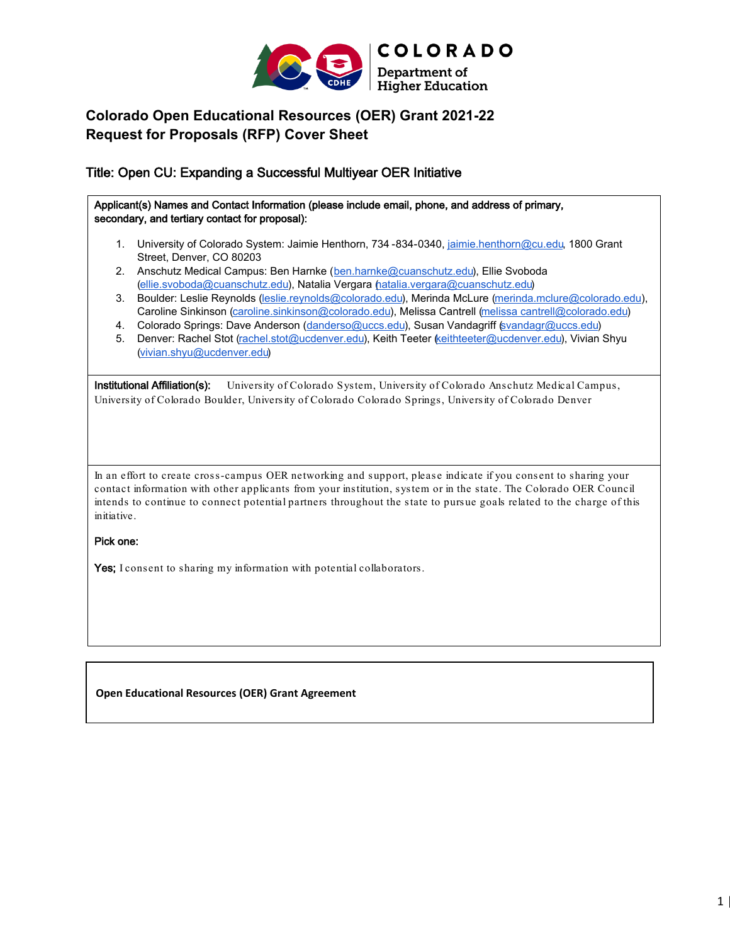

## **Colorado Open Educational Resources (OER) Grant 2021-22 Request for Proposals (RFP) Cover Sheet**

## Title: Open CU: Expanding a Successful Multiyear OER Initiative

Applicant(s) Names and Contact Information (please include email, phone, and address of primary, secondary, and tertiary contact for proposal):

- 1. University of Colorado System: Jaimie Henthorn, 734 -834-0340[, jaimie.henthorn@cu.edu,](mailto:jaimie.henthorn@cu.edu) 1800 Grant Street, Denver, CO 80203
- 2. Anschutz Medical Campus: Ben Harnke [\(ben.harnke@cuanschutz.edu\)](mailto:ben.harnke@cuanschutz.edu), Ellie Svoboda [\(ellie.svoboda@cuanschutz.edu\)](mailto:ellie.svoboda@cuanschutz.edu), Natalia Vergara [\(natalia.vergara@cuanschutz.edu\)](mailto:natalia.vergara@cuanschutz.edu)
- 3. Boulder: Leslie Reynolds [\(leslie.reynolds@colorado.edu\)](mailto:leslie.reynolds@colorado.edu), Merinda McLure [\(merinda.mclure@colorado.edu\)](mailto:merinda.mclure@colorado.edu), Caroline Sinkinson [\(caroline.sinkinson@colorado.edu\)](mailto:caroline.sinkinson@colorado.edu), Melissa Cantrell [\(melissa cantrell@colorado.edu\)](mailto:cantrell@colorado.edu)
- 4. Colorado Springs: Dave Anderson [\(danderso@uccs.edu\)](mailto:danderso@uccs.edu), Susan Vandagriff [\(svandagr@uccs.edu\)](mailto:svandagr@uccs.edu)
- 5. Denver: Rachel Stot [\(rachel.stot@ucdenver.edu\)](mailto:ronica.rooks@ucdenver.edu), Keith Teeter [\(keithteeter@ucdenver.edu\)](mailto:keith.teeter@ucdenver.edu), Vivian Shyu [\(vivian.shyu@ucdenver.edu\)](mailto:vivian.shyu@ucdenver.edu)

Institutional Affiliation(s): University of Colorado System, University of Colorado Anschutz Medical Campus, University of Colorado Boulder, University of Colorado Colorado Springs, University of Colorado Denver

In an effort to create cross-campus OER networking and support, please indicate if you consent to sharing your contact information with other applicants from your institution, system or in the state. The Colorado OER Council intends to continue to connect potential partners throughout the state to pursue goals related to the charge of this initiative.

#### Pick one:

Yes; I consent to sharing my information with potential collaborators.

 **Open Educational Resources (OER) Grant Agreement**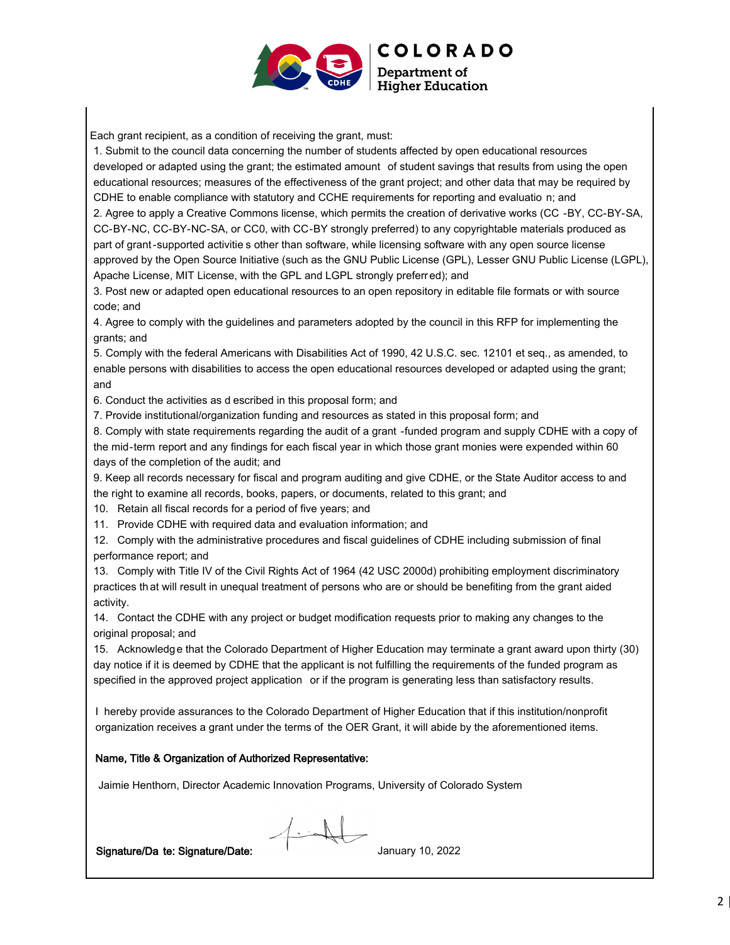

Each grant recipient, as a condition of receiving the grant, must:

1. Submit to the council data concerning the number of students affected by open educational resources developed or adapted using the grant; the estimated amount of student savings that results from using the open educational resources; measures of the effectiveness of the grant project; and other data that may be required by CDHE to enable compliance with statutory and CCHE requirements for reporting and evaluatio n; and

2. Agree to apply a Creative Commons license, which permits the creation of derivative works (CC -BY, CC-BY-SA, CC-BY-NC, CC-BY-NC-SA, or CC0, with CC-BY strongly preferred) to any copyrightable materials produced as part of grant-supported activitie s other than software, while licensing software with any open source license approved by the Open Source Initiative (such as the GNU Public License (GPL), Lesser GNU Public License (LGPL), Apache License, MIT License, with the GPL and LGPL strongly preferred); and

3. Post new or adapted open educational resources to an open repository in editable file formats or with source code; and

4. Agree to comply with the guidelines and parameters adopted by the council in this RFP for implementing the grants; and

5. Comply with the federal Americans with Disabilities Act of 1990, 42 U.S.C. sec. 12101 et seq., as amended, to enable persons with disabilities to access the open educational resources developed or adapted using the grant; and

6. Conduct the activities as d escribed in this proposal form; and

7. Provide institutional/organization funding and resources as stated in this proposal form; and

8. Comply with state requirements regarding the audit of a grant -funded program and supply CDHE with a copy of the mid-term report and any findings for each fiscal year in which those grant monies were expended within 60 days of the completion of the audit; and

9. Keep all records necessary for fiscal and program auditing and give CDHE, or the State Auditor access to and the right to examine all records, books, papers, or documents, related to this grant; and

10. Retain all fiscal records for a period of five years; and

11. Provide CDHE with required data and evaluation information; and

12. Comply with the administrative procedures and fiscal guidelines of CDHE including submission of final performance report; and

13. Comply with Title IV of the Civil Rights Act of 1964 (42 USC 2000d) prohibiting employment discriminatory practices th at will result in unequal treatment of persons who are or should be benefiting from the grant aided activity.

14. Contact the CDHE with any project or budget modification requests prior to making any changes to the original proposal; and

15. Acknowledge that the Colorado Department of Higher Education may terminate a grant award upon thirty (30) day notice if it is deemed by CDHE that the applicant is not fulfilling the requirements of the funded program as specified in the approved project application or if the program is generating less than satisfactory results.

 I hereby provide assurances to the Colorado Department of Higher Education that if this institution/nonprofit organization receives a grant under the terms of the OER Grant, it will abide by the aforementioned items.

#### Name, Title & Organization of Authorized Representative:

Jaimie Henthorn, Director Academic Innovation Programs, University of Colorado System

 $\leftarrow$ 

Signature/Da te: Signature/Date:  $\frac{1}{2}$  January 10, 2022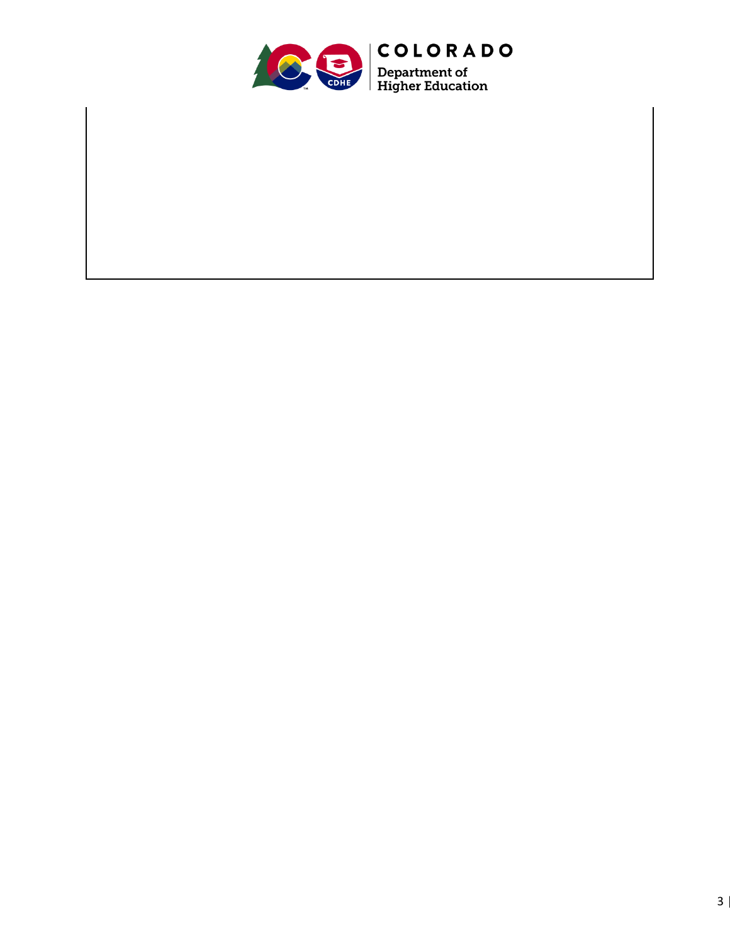

 $\overline{3}$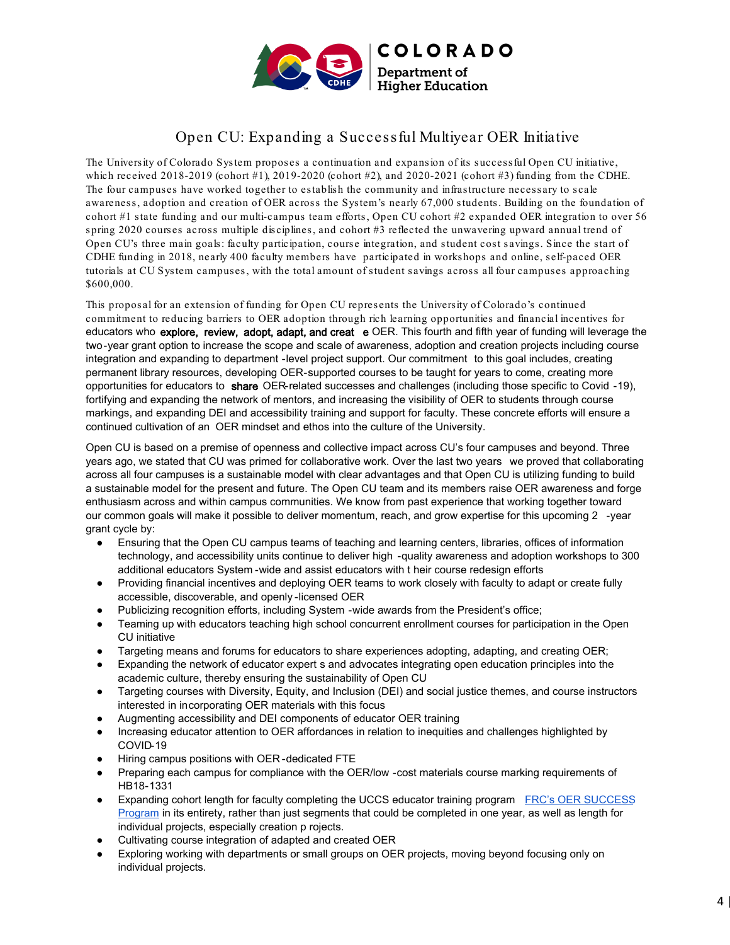

## Open CU: Expanding a Successful Multiyear OER Initiative

The University of Colorado System proposes a continuation and expansion of its successful Open CU initiative, which received 2018-2019 (cohort #1), 2019-2020 (cohort #2), and 2020-2021 (cohort #3) funding from the CDHE. The four campuses have worked together to establish the community and infrastructure necessary to scale awareness, adoption and creation of OER across the System's nearly 67,000 students. Building on the foundation of cohort #1 state funding and our multi-campus team efforts, Open CU cohort #2 expanded OER integration to over 56 spring 2020 courses across multiple disciplines, and cohort #3 reflected the unwavering upward annual trend of Open CU's three main goals: faculty participation, course integration, and student cost savings. Since the start of CDHE funding in 2018, nearly 400 faculty members have participated in workshops and online, self-paced OER tutorials at CU System campuses, with the total amount of student savings across all four campuses approaching \$600,000.

This proposal for an extension of funding for Open CU represents the University of Colorado's continued commitment to reducing barriers to OER adoption through rich learning opportunities and financial incentives for educators who explore, review, adopt, adapt, and creat e OER. This fourth and fifth year of funding will leverage the two-year grant option to increase the scope and scale of awareness, adoption and creation projects including course integration and expanding to department -level project support. Our commitment to this goal includes, creating permanent library resources, developing OER-supported courses to be taught for years to come, creating more opportunities for educators to share OER-related successes and challenges (including those specific to Covid -19), fortifying and expanding the network of mentors, and increasing the visibility of OER to students through course markings, and expanding DEI and accessibility training and support for faculty. These concrete efforts will ensure a continued cultivation of an OER mindset and ethos into the culture of the University.

Open CU is based on a premise of openness and collective impact across CU's four campuses and beyond. Three years ago, we stated that CU was primed for collaborative work. Over the last two years we proved that collaborating across all four campuses is a sustainable model with clear advantages and that Open CU is utilizing funding to build a sustainable model for the present and future. The Open CU team and its members raise OER awareness and forge enthusiasm across and within campus communities. We know from past experience that working together toward our common goals will make it possible to deliver momentum, reach, and grow expertise for this upcoming 2 -year grant cycle by:

- Ensuring that the Open CU campus teams of teaching and learning centers, libraries, offices of information technology, and accessibility units continue to deliver high -quality awareness and adoption workshops to 300 additional educators System -wide and assist educators with t heir course redesign efforts
- Providing financial incentives and deploying OER teams to work closely with faculty to adapt or create fully accessible, discoverable, and openly -licensed OER
- Publicizing recognition efforts, including System -wide awards from the President's office;
- Teaming up with educators teaching high school concurrent enrollment courses for participation in the Open CU initiative
- Targeting means and forums for educators to share experiences adopting, adapting, and creating OER;
- Expanding the network of educator expert s and advocates integrating open education principles into the academic culture, thereby ensuring the sustainability of Open CU
- Targeting courses with Diversity, Equity, and Inclusion (DEI) and social justice themes, and course instructors interested in incorporating OER materials with this focus
- Augmenting accessibility and DEI components of educator OER training
- Increasing educator attention to OER affordances in relation to inequities and challenges highlighted by COVID-19
- Hiring campus positions with OER-dedicated FTE
- Preparing each campus for compliance with the OER/low -cost materials course marking requirements of HB18-1331
- Expanding cohort length for faculty completing the UCCS educator training program FRC's OER SUCCESS [Program](https://frc.uccs.edu/sites/g/files/kjihxj1261/files/inline-files/OER%20Brochure.pdf) in its entirety, rather than just segments that could be completed in one year, as well as length for individual projects, especially creation p rojects.
- Cultivating course integration of adapted and created OER
- Exploring working with departments or small groups on OER projects, moving beyond focusing only on individual projects.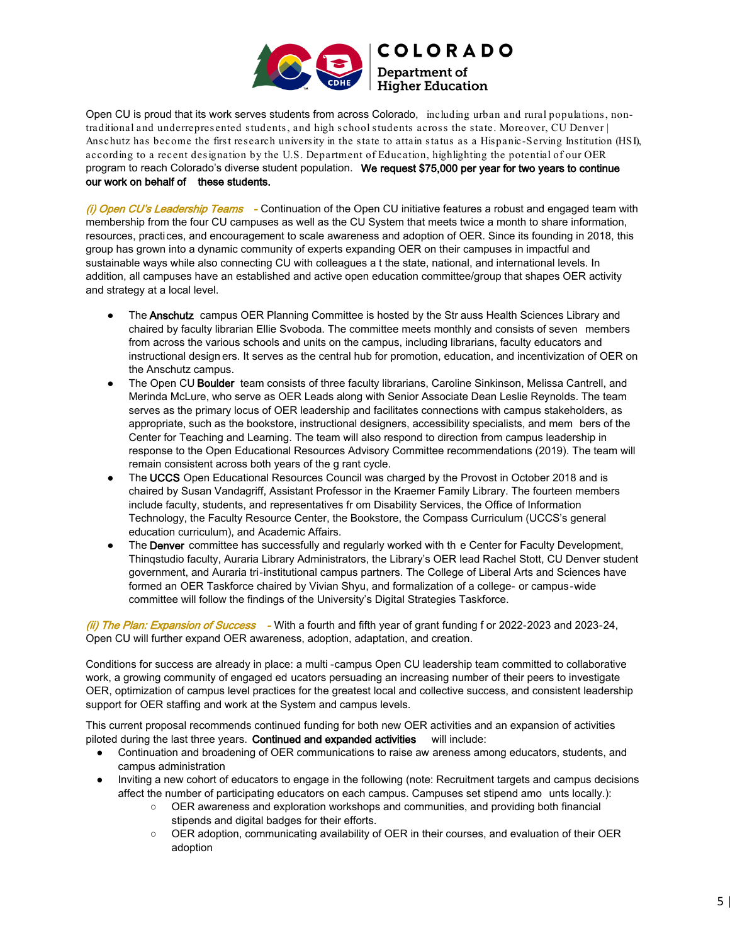

Open CU is proud that its work serves students from across Colorado, including urban and rural populations, nontraditional and underrepresented students, and high school students across the state. Moreover, CU Denver | Anschutz has become the first research university in the state to attain status as a Hispanic-Serving Institution (HSI), according to a recent designation by the U.S. Department of Education, highlighting the potential of our OER program to reach Colorado's diverse student population. We request \$75,000 per year for two years to continue our work on behalf of these students.

(i) Open CU's Leadership Teams - Continuation of the Open CU initiative features a robust and engaged team with membership from the four CU campuses as well as the CU System that meets twice a month to share information, resources, practices, and encouragement to scale awareness and adoption of OER. Since its founding in 2018, this group has grown into a dynamic community of experts expanding OER on their campuses in impactful and sustainable ways while also connecting CU with colleagues a t the state, national, and international levels. In addition, all campuses have an established and active open education committee/group that shapes OER activity and strategy at a local level.

- The Anschutz campus OER Planning Committee is hosted by the Str auss Health Sciences Library and chaired by faculty librarian Ellie Svoboda. The committee meets monthly and consists of seven members from across the various schools and units on the campus, including librarians, faculty educators and instructional design ers. It serves as the central hub for promotion, education, and incentivization of OER on the Anschutz campus.
- The Open CU Boulder team consists of three faculty librarians, Caroline Sinkinson, Melissa Cantrell, and Merinda McLure, who serve as OER Leads along with Senior Associate Dean Leslie Reynolds. The team serves as the primary locus of OER leadership and facilitates connections with campus stakeholders, as appropriate, such as the bookstore, instructional designers, accessibility specialists, and mem bers of the Center for Teaching and Learning. The team will also respond to direction from campus leadership in response to the Open Educational Resources Advisory Committee recommendations (2019). The team will remain consistent across both years of the g rant cycle.
- The UCCS Open Educational Resources Council was charged by the Provost in October 2018 and is chaired by Susan Vandagriff, Assistant Professor in the Kraemer Family Library. The fourteen members include faculty, students, and representatives fr om Disability Services, the Office of Information Technology, the Faculty Resource Center, the Bookstore, the Compass Curriculum (UCCS's general education curriculum), and Academic Affairs.
- The Denver committee has successfully and regularly worked with th e Center for Faculty Development, Thinqstudio faculty, Auraria Library Administrators, the Library's OER lead Rachel Stott, CU Denver student government, and Auraria tri-institutional campus partners. The College of Liberal Arts and Sciences have formed an OER Taskforce chaired by Vivian Shyu, and formalization of a college- or campus-wide committee will follow the findings of the University's Digital Strategies Taskforce.

(ii) The Plan: Expansion of Success - With a fourth and fifth year of grant funding f or 2022-2023 and 2023-24, Open CU will further expand OER awareness, adoption, adaptation, and creation.

Conditions for success are already in place: a multi -campus Open CU leadership team committed to collaborative work, a growing community of engaged ed ucators persuading an increasing number of their peers to investigate OER, optimization of campus level practices for the greatest local and collective success, and consistent leadership support for OER staffing and work at the System and campus levels.

This current proposal recommends continued funding for both new OER activities and an expansion of activities piloted during the last three years. Continued and expanded activities will include:

- Continuation and broadening of OER communications to raise aw areness among educators, students, and campus administration
- Inviting a new cohort of educators to engage in the following (note: Recruitment targets and campus decisions affect the number of participating educators on each campus. Campuses set stipend amo unts locally.):
	- OER awareness and exploration workshops and communities, and providing both financial stipends and digital badges for their efforts.
	- OER adoption, communicating availability of OER in their courses, and evaluation of their OER adoption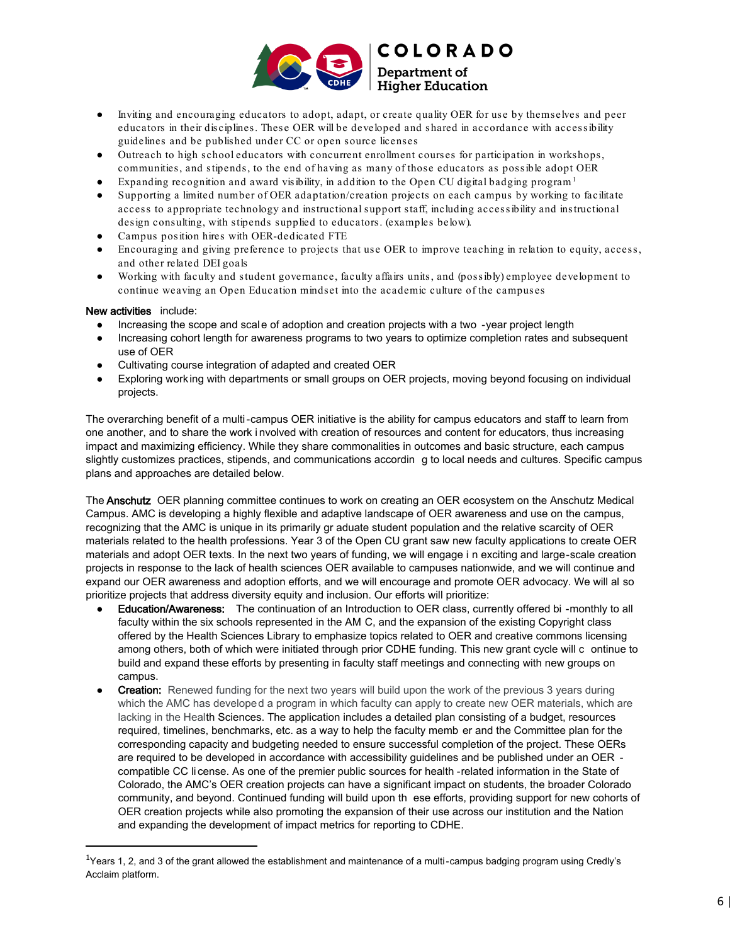

## **COLORADO** Department of **Higher Education**

- Inviting and encouraging educators to adopt, adapt, or create quality OER for use by themselves and peer educators in their disciplines. These OER will be developed and shared in accordance with accessibility guidelines and be published under CC or open source licenses
- Outreach to high school educators with concurrent enrollment courses for participation in workshops, communities, and stipends, to the end of having as many of those educators as possible adopt OER
- Expanding recognition and award visibility, in addition to the Open CU digital badging program<sup>[1](#page-5-0)</sup>
- Supporting a limited number of OER adaptation/creation projects on each campus by working to facilitate access to appropriate technology and instructional support staff, including accessibility and instructional design consulting, with stipends supplied to educators. (examples below).
- Campus position hires with OER-dedicated FTE
- Encouraging and giving preference to projects that use OER to improve teaching in relation to equity, access, and other related DEI goals
- Working with faculty and student governance, faculty affairs units, and (possibly) employee development to continue weaving an Open Education mindset into the academic culture of the campuses

#### New activities include:

- Increasing the scope and scale of adoption and creation projects with a two -year project length
- Increasing cohort length for awareness programs to two years to optimize completion rates and subsequent use of OER
- Cultivating course integration of adapted and created OER
- Exploring working with departments or small groups on OER projects, moving beyond focusing on individual projects.

The overarching benefit of a multi-campus OER initiative is the ability for campus educators and staff to learn from one another, and to share the work i nvolved with creation of resources and content for educators, thus increasing impact and maximizing efficiency. While they share commonalities in outcomes and basic structure, each campus slightly customizes practices, stipends, and communications accordin g to local needs and cultures. Specific campus plans and approaches are detailed below.

The **Anschutz** OER planning committee continues to work on creating an OER ecosystem on the Anschutz Medical Campus. AMC is developing a highly flexible and adaptive landscape of OER awareness and use on the campus, recognizing that the AMC is unique in its primarily gr aduate student population and the relative scarcity of OER materials related to the health professions. Year 3 of the Open CU grant saw new faculty applications to create OER materials and adopt OER texts. In the next two years of funding, we will engage i n exciting and large-scale creation projects in response to the lack of health sciences OER available to campuses nationwide, and we will continue and expand our OER awareness and adoption efforts, and we will encourage and promote OER advocacy. We will al so prioritize projects that address diversity equity and inclusion. Our efforts will prioritize:

- Education/Awareness: The continuation of an Introduction to OER class, currently offered bi -monthly to all faculty within the six schools represented in the AM C, and the expansion of the existing Copyright class offered by the Health Sciences Library to emphasize topics related to OER and creative commons licensing among others, both of which were initiated through prior CDHE funding. This new grant cycle will c ontinue to build and expand these efforts by presenting in faculty staff meetings and connecting with new groups on campus.
- **Creation:** Renewed funding for the next two years will build upon the work of the previous 3 years during which the AMC has developed a program in which faculty can apply to create new OER materials, which are lacking in the Health Sciences. The application includes a detailed plan consisting of a budget, resources required, timelines, benchmarks, etc. as a way to help the faculty memb er and the Committee plan for the corresponding capacity and budgeting needed to ensure successful completion of the project. These OERs are required to be developed in accordance with accessibility guidelines and be published under an OER compatible CC li cense. As one of the premier public sources for health -related information in the State of Colorado, the AMC's OER creation projects can have a significant impact on students, the broader Colorado community, and beyond. Continued funding will build upon th ese efforts, providing support for new cohorts of OER creation projects while also promoting the expansion of their use across our institution and the Nation and expanding the development of impact metrics for reporting to CDHE.

<span id="page-5-0"></span> $^{\rm 1}$ Years 1, 2, and 3 of the grant allowed the establishment and maintenance of a multi-campus badging program using Credly's Acclaim platform.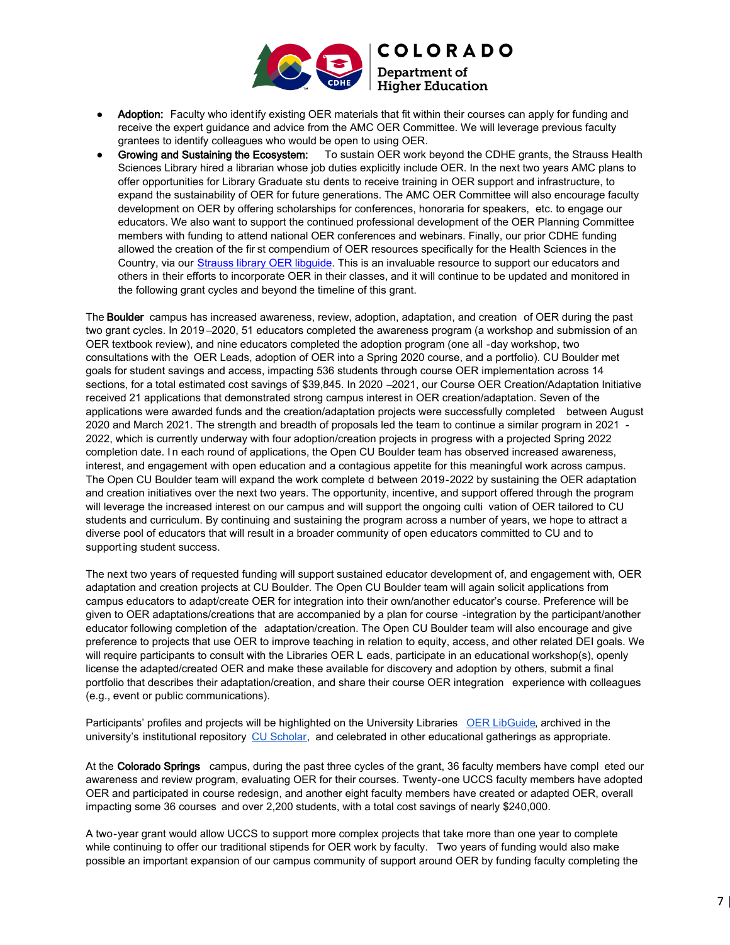

## **COLORADO** Department of **Higher Education**

- Adoption: Faculty who ident ify existing OER materials that fit within their courses can apply for funding and receive the expert guidance and advice from the AMC OER Committee. We will leverage previous faculty grantees to identify colleagues who would be open to using OER.
- Growing and Sustaining the Ecosystem: To sustain OER work beyond the CDHE grants, the Strauss Health Sciences Library hired a librarian whose job duties explicitly include OER. In the next two years AMC plans to offer opportunities for Library Graduate stu dents to receive training in OER support and infrastructure, to expand the sustainability of OER for future generations. The AMC OER Committee will also encourage faculty development on OER by offering scholarships for conferences, honoraria for speakers, etc. to engage our educators. We also want to support the continued professional development of the OER Planning Committee members with funding to attend national OER conferences and webinars. Finally, our prior CDHE funding allowed the creation of the fir st compendium of OER resources specifically for the Health Sciences in the Country, via our *Strauss library OER libguide*. This is an invaluable resource to support our educators and others in their efforts to incorporate OER in their classes, and it will continue to be updated and monitored in the following grant cycles and beyond the timeline of this grant.

The **Boulder** campus has increased awareness, review, adoption, adaptation, and creation of OER during the past two grant cycles. In 2019 –2020, 51 educators completed the awareness program (a workshop and submission of an OER textbook review), and nine educators completed the adoption program (one all -day workshop, two consultations with the OER Leads, adoption of OER into a Spring 2020 course, and a portfolio). CU Boulder met goals for student savings and access, impacting 536 students through course OER implementation across 14 sections, for a total estimated cost savings of \$39,845. In 2020 –2021, our Course OER Creation/Adaptation Initiative received 21 applications that demonstrated strong campus interest in OER creation/adaptation. Seven of the applications were awarded funds and the creation/adaptation projects were successfully completed between August 2020 and March 2021. The strength and breadth of proposals led the team to continue a similar program in 2021 - 2022, which is currently underway with four adoption/creation projects in progress with a projected Spring 2022 completion date. In each round of applications, the Open CU Boulder team has observed increased awareness, interest, and engagement with open education and a contagious appetite for this meaningful work across campus. The Open CU Boulder team will expand the work complete d between 2019-2022 by sustaining the OER adaptation and creation initiatives over the next two years. The opportunity, incentive, and support offered through the program will leverage the increased interest on our campus and will support the ongoing culti vation of OER tailored to CU students and curriculum. By continuing and sustaining the program across a number of years, we hope to attract a diverse pool of educators that will result in a broader community of open educators committed to CU and to supporting student success.

The next two years of requested funding will support sustained educator development of, and engagement with, OER adaptation and creation projects at CU Boulder. The Open CU Boulder team will again solicit applications from campus educators to adapt/create OER for integration into their own/another educator's course. Preference will be given to OER adaptations/creations that are accompanied by a plan for course -integration by the participant/another educator following completion of the adaptation/creation. The Open CU Boulder team will also encourage and give preference to projects that use OER to improve teaching in relation to equity, access, and other related DEI goals. We will require participants to consult with the Libraries OER L eads, participate in an educational workshop(s), openly license the adapted/created OER and make these available for discovery and adoption by others, submit a final portfolio that describes their adaptation/creation, and share their course OER integration experience with colleagues (e.g., event or public communications).

Participants' profiles and projects will be highlighted on the University Libraries [OER LibGuide,](https://libguides.colorado.edu/oer/find) archived in the university's institutional repository [CU Scholar,](https://scholar.colorado.edu/) and celebrated in other educational gatherings as appropriate.

At the Colorado Springs campus, during the past three cycles of the grant, 36 faculty members have completed our awareness and review program, evaluating OER for their courses. Twenty-one UCCS faculty members have adopted OER and participated in course redesign, and another eight faculty members have created or adapted OER, overall impacting some 36 courses and over 2,200 students, with a total cost savings of nearly \$240,000.

A two-year grant would allow UCCS to support more complex projects that take more than one year to complete while continuing to offer our traditional stipends for OER work by faculty. Two years of funding would also make possible an important expansion of our campus community of support around OER by funding faculty completing the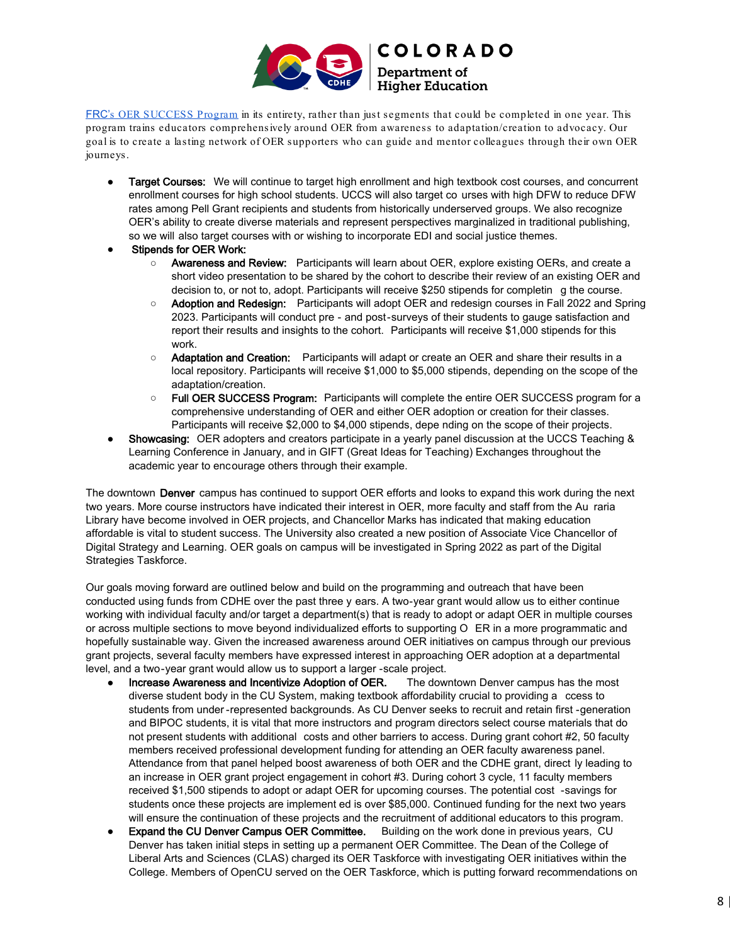

FRC'[s OER SUCCESS Program](https://frc.uccs.edu/sites/g/files/kjihxj1261/files/inline-files/OER%20Brochure.pdf) in its entirety, rather than just segments that could be completed in one year. This program trains educators comprehensively around OER from awareness to adaptation/creation to advocacy. Our goal is to create a lasting network of OER supporters who can guide and mentor colleagues through their own OER journeys.

- Target Courses: We will continue to target high enrollment and high textbook cost courses, and concurrent enrollment courses for high school students. UCCS will also target co urses with high DFW to reduce DFW rates among Pell Grant recipients and students from historically underserved groups. We also recognize OER's ability to create diverse materials and represent perspectives marginalized in traditional publishing, so we will also target courses with or wishing to incorporate EDI and social justice themes.
- Stipends for OER Work:
	- Awareness and Review: Participants will learn about OER, explore existing OERs, and create a short video presentation to be shared by the cohort to describe their review of an existing OER and decision to, or not to, adopt. Participants will receive \$250 stipends for completin g the course.
	- Adoption and Redesign: Participants will adopt OER and redesign courses in Fall 2022 and Spring 2023. Participants will conduct pre - and post-surveys of their students to gauge satisfaction and report their results and insights to the cohort. Participants will receive \$1,000 stipends for this work.
	- Adaptation and Creation: Participants will adapt or create an OER and share their results in a local repository. Participants will receive \$1,000 to \$5,000 stipends, depending on the scope of the adaptation/creation.
	- Full OER SUCCESS Program: Participants will complete the entire OER SUCCESS program for a comprehensive understanding of OER and either OER adoption or creation for their classes. Participants will receive \$2,000 to \$4,000 stipends, depe nding on the scope of their projects.
- Showcasing: OER adopters and creators participate in a yearly panel discussion at the UCCS Teaching & Learning Conference in January, and in GIFT (Great Ideas for Teaching) Exchanges throughout the academic year to encourage others through their example.

The downtown Denver campus has continued to support OER efforts and looks to expand this work during the next two years. More course instructors have indicated their interest in OER, more faculty and staff from the Au raria Library have become involved in OER projects, and Chancellor Marks has indicated that making education affordable is vital to student success. The University also created a new position of Associate Vice Chancellor of Digital Strategy and Learning. OER goals on campus will be investigated in Spring 2022 as part of the Digital Strategies Taskforce.

Our goals moving forward are outlined below and build on the programming and outreach that have been conducted using funds from CDHE over the past three y ears. A two-year grant would allow us to either continue working with individual faculty and/or target a department(s) that is ready to adopt or adapt OER in multiple courses or across multiple sections to move beyond individualized efforts to supporting O ER in a more programmatic and hopefully sustainable way. Given the increased awareness around OER initiatives on campus through our previous grant projects, several faculty members have expressed interest in approaching OER adoption at a departmental level, and a two-year grant would allow us to support a larger -scale project.

- Increase Awareness and Incentivize Adoption of OER. The downtown Denver campus has the most diverse student body in the CU System, making textbook affordability crucial to providing a ccess to students from under -represented backgrounds. As CU Denver seeks to recruit and retain first -generation and BIPOC students, it is vital that more instructors and program directors select course materials that do not present students with additional costs and other barriers to access. During grant cohort #2, 50 faculty members received professional development funding for attending an OER faculty awareness panel. Attendance from that panel helped boost awareness of both OER and the CDHE grant, direct ly leading to an increase in OER grant project engagement in cohort #3. During cohort 3 cycle, 11 faculty members received \$1,500 stipends to adopt or adapt OER for upcoming courses. The potential cost -savings for students once these projects are implement ed is over \$85,000. Continued funding for the next two years will ensure the continuation of these projects and the recruitment of additional educators to this program.
- **Expand the CU Denver Campus OER Committee.** Building on the work done in previous years, CU Denver has taken initial steps in setting up a permanent OER Committee. The Dean of the College of Liberal Arts and Sciences (CLAS) charged its OER Taskforce with investigating OER initiatives within the College. Members of OpenCU served on the OER Taskforce, which is putting forward recommendations on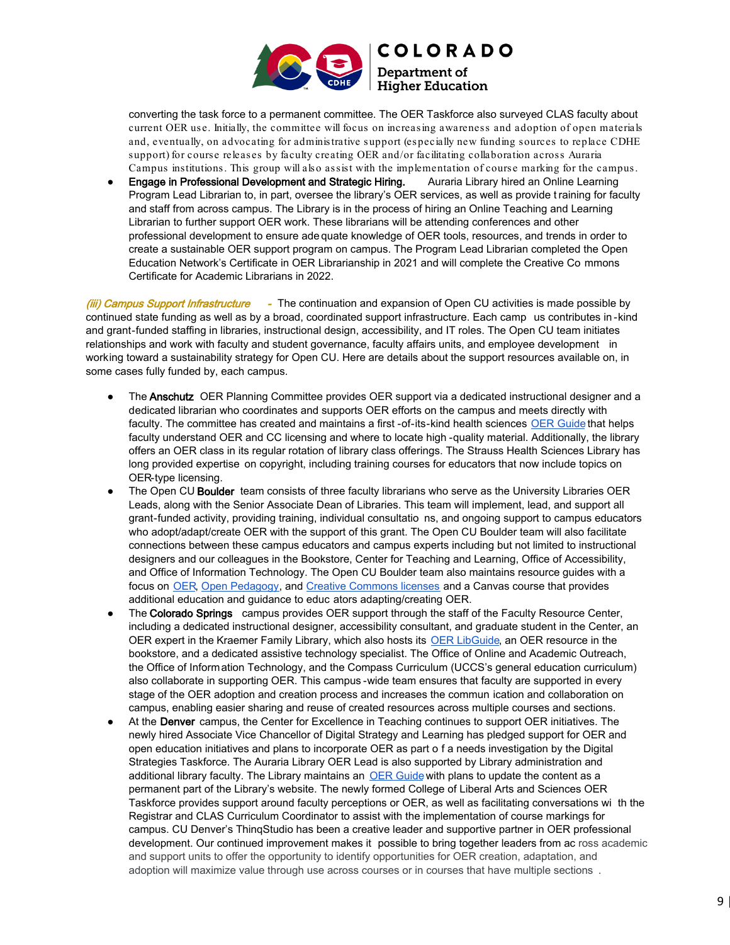

**COLORADO** Department of **Higher Education** 

converting the task force to a permanent committee. The OER Taskforce also surveyed CLAS faculty about current OER use. Initially, the committee will focus on increasing awareness and adoption of open materials and, eventually, on advocating for administrative support (especially new funding sources to replace CDHE support) for course releases by faculty creating OER and/or facilitating collaboration across Auraria Campus institutions. This group will also assist with the implementation of course marking for the campus.

**Engage in Professional Development and Strategic Hiring.** Auraria Library hired an Online Learning Program Lead Librarian to, in part, oversee the library's OER services, as well as provide t raining for faculty and staff from across campus. The Library is in the process of hiring an Online Teaching and Learning Librarian to further support OER work. These librarians will be attending conferences and other professional development to ensure ade quate knowledge of OER tools, resources, and trends in order to create a sustainable OER support program on campus. The Program Lead Librarian completed the Open Education Network's Certificate in OER Librarianship in 2021 and will complete the Creative Co mmons Certificate for Academic Librarians in 2022.

(iii) Campus Support Infrastructure - The continuation and expansion of Open CU activities is made possible by continued state funding as well as by a broad, coordinated support infrastructure. Each camp us contributes in -kind and grant-funded staffing in libraries, instructional design, accessibility, and IT roles. The Open CU team initiates relationships and work with faculty and student governance, faculty affairs units, and employee development in working toward a sustainability strategy for Open CU. Here are details about the support resources available on, in some cases fully funded by, each campus.

- The **Anschutz** OER Planning Committee provides OER support via a dedicated instructional designer and a dedicated librarian who coordinates and supports OER efforts on the campus and meets directly with faculty. The committee has created and maintains a first -of-its-kind health sciences [OER Guide t](https://library-cuanschutz.libguides.com/oer)hat helps faculty understand OER and CC licensing and where to locate high -quality material. Additionally, the library offers an OER class in its regular rotation of library class offerings. The Strauss Health Sciences Library has long provided expertise on copyright, including training courses for educators that now include topics on OER-type licensing.
- The Open CU Boulder team consists of three faculty librarians who serve as the University Libraries OER Leads, along with the Senior Associate Dean of Libraries. This team will implement, lead, and support all grant-funded activity, providing training, individual consultatio ns, and ongoing support to campus educators who adopt/adapt/create OER with the support of this grant. The Open CU Boulder team will also facilitate connections between these campus educators and campus experts including but not limited to instructional designers and our colleagues in the Bookstore, Center for Teaching and Learning, Office of Accessibility, and Office of Information Technology. The Open CU Boulder team also maintains resource guides with a focus on [OER,](https://libguides.colorado.edu/oer) [Open Pedagogy,](https://libguides.colorado.edu/openped) and [Creative Commons licenses a](https://libguides.colorado.edu/cclicenses)nd a Canvas course that provides additional education and guidance to educ ators adapting/creating OER.
- The Colorado Springs campus provides OER support through the staff of the Faculty Resource Center, including a dedicated instructional designer, accessibility consultant, and graduate student in the Center, an OER expert in the Kraemer Family Library, which also hosts its [OER LibGuide,](http://libguides.uccs.edu/oer) an OER resource in the bookstore, and a dedicated assistive technology specialist. The Office of Online and Academic Outreach, the Office of Information Technology, and the Compass Curriculum (UCCS's general education curriculum) also collaborate in supporting OER. This campus -wide team ensures that faculty are supported in every stage of the OER adoption and creation process and increases the commun ication and collaboration on campus, enabling easier sharing and reuse of created resources across multiple courses and sections.
- At the Denver campus, the Center for Excellence in Teaching continues to support OER initiatives. The newly hired Associate Vice Chancellor of Digital Strategy and Learning has pledged support for OER and open education initiatives and plans to incorporate OER as part o f a needs investigation by the Digital Strategies Taskforce. The Auraria Library OER Lead is also supported by Library administration and additional library faculty. The Library maintains an [OER Guide](https://guides.auraria.edu/textbookalternatives/home) with plans to update the content as a permanent part of the Library's website. The newly formed College of Liberal Arts and Sciences OER Taskforce provides support around faculty perceptions or OER, as well as facilitating conversations wi th the Registrar and CLAS Curriculum Coordinator to assist with the implementation of course markings for campus. CU Denver's ThinqStudio has been a creative leader and supportive partner in OER professional development. Our continued improvement makes it possible to bring together leaders from ac ross academic and support units to offer the opportunity to identify opportunities for OER creation, adaptation, and adoption will maximize value through use across courses or in courses that have multiple sections .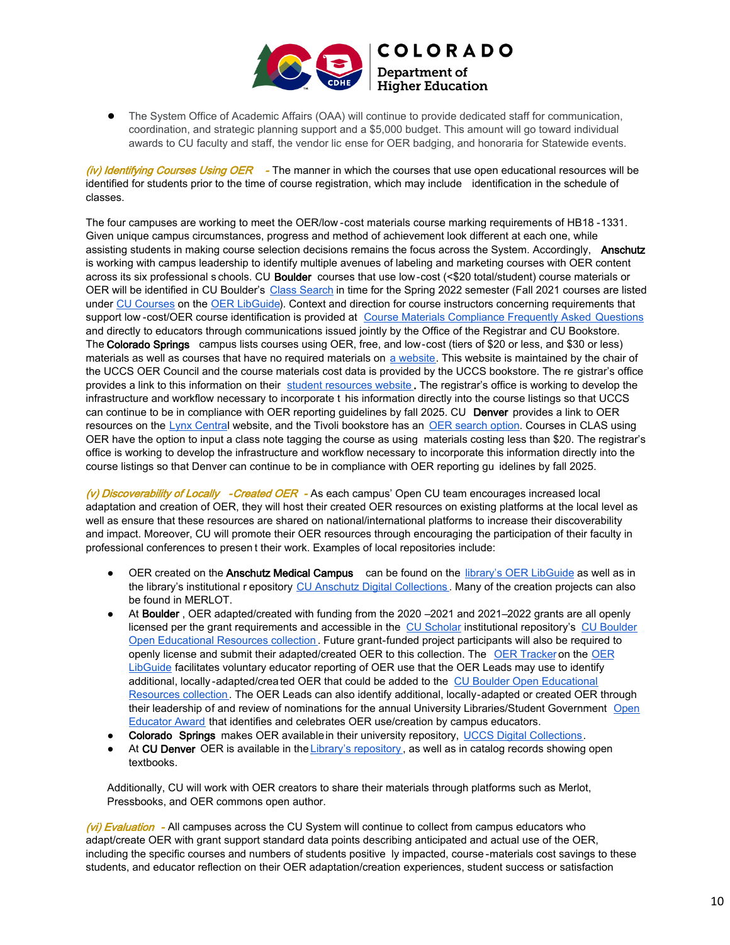

● The System Office of Academic Affairs (OAA) will continue to provide dedicated staff for communication, coordination, and strategic planning support and a \$5,000 budget. This amount will go toward individual awards to CU faculty and staff, the vendor lic ense for OER badging, and honoraria for Statewide events.

(iv) Identifying Courses Using OER - The manner in which the courses that use open educational resources will be identified for students prior to the time of course registration, which may include identification in the schedule of classes.

The four campuses are working to meet the OER/low -cost materials course marking requirements of HB18 -1331. Given unique campus circumstances, progress and method of achievement look different at each one, while assisting students in making course selection decisions remains the focus across the System. Accordingly, Anschutz is working with campus leadership to identify multiple avenues of labeling and marketing courses with OER content across its six professional s chools. CU Boulder courses that use low-cost (<\$20 total/student) course materials or OER will be identified in CU Boulder's [Class Search](https://classes.colorado.edu/) in time for the Spring 2022 semester (Fall 2021 courses are listed unde[r CU Courses](https://libguides.colorado.edu/oer/courses) on the [OER LibGuide\)](https://libguides.colorado.edu/oer). Context and direction for course instructors concerning requirements that support low -cost/OER course identification is provided at [Course Materials Compliance Frequently Asked Questions](https://www.cubookstore.com/t-course-materials-faqs.aspx) and directly to educators through communications issued jointly by the Office of the Registrar and CU Bookstore. The Colorado Springs campus lists courses using OER, free, and low-cost (tiers of \$20 or less, and \$30 or less) materials as well as courses that have no required materials on [a website.](https://open.uccs.edu/course-affordability) This website is maintained by the chair of the UCCS OER Council and the course materials cost data is provided by the UCCS bookstore. The re gistrar's office provides a link to this information on their [student resources website](https://registrar.uccs.edu/student-resources). The registrar's office is working to develop the infrastructure and workflow necessary to incorporate t his information directly into the course listings so that UCCS can continue to be in compliance with OER reporting guidelines by fall 2025. CU Denver provides a link to OER resources on the [Lynx Central](https://ucdenver.edu/student/registration-planning) website, and the Tivoli bookstore has an [OER search option.](https://tivolistation.bncollege.com/shop/ahec-ucdenver/page/find-oer) Courses in CLAS using OER have the option to input a class note tagging the course as using materials costing less than \$20. The registrar's office is working to develop the infrastructure and workflow necessary to incorporate this information directly into the course listings so that Denver can continue to be in compliance with OER reporting gu idelines by fall 2025.

(v) Discoverability of Locally -Created OER - As each campus' Open CU team encourages increased local adaptation and creation of OER, they will host their created OER resources on existing platforms at the local level as well as ensure that these resources are shared on national/international platforms to increase their discoverability and impact. Moreover, CU will promote their OER resources through encouraging the participation of their faculty in professional conferences to presen t their work. Examples of local repositories include:

- OER created on the **Anschutz Medical Campus** can be found on the [library's OER LibGuide](https://library-cuanschutz.libguides.com/oer/nursing) as well as in the library's institutional r epository [CU Anschutz Digital Collections](https://digitalcollections.cuanschutz.edu/) . Many of the creation projects can also be found in MERLOT.
- At Boulder, OER adapted/created with funding from the 2020 2021 and 2021–2022 grants are all openly licensed per the grant requirements and accessible in the [CU Scholar](https://scholar.colorado.edu/) institutional repository's [CU Boulder](https://scholar.colorado.edu/collections/qf85nc31p)  [Open Educational Resources collection](https://scholar.colorado.edu/collections/qf85nc31p) . Future grant-funded project participants will also be required to openly license and submit their adapted/created OER to this collection. The [OER Tracker](https://libguides.colorado.edu/oer/tracker) on the OER [LibGuide f](https://libguides.colorado.edu/oer)acilitates voluntary educator reporting of OER use that the OER Leads may use to identify additional, locally -adapted/created OER that could be added to the [CU Boulder Open Educational](https://scholar.colorado.edu/collections/qf85nc31p)  [Resources collection.](https://scholar.colorado.edu/collections/qf85nc31p) The OER Leads can also identify additional, locally-adapted or created OER through their leadership of and review of nominations for the annual University Libraries/Student Government Open [Educator Award](https://libguides.colorado.edu/c.php?g=907029&p=6531043) that identifies and celebrates OER use/creation by campus educators.
- Colorado Springs makes OER available in their university repository, [UCCS Digital Collections.](https://archives.mountainscholar.org/digital/collection/p17393coll22/custom/uccs)
- At CU Denver OER is available in th[e Library's repository](https://digital.auraria.edu/), as well as in catalog records showing open textbooks.

Additionally, CU will work with OER creators to share their materials through platforms such as Merlot, Pressbooks, and OER commons open author.

(vi) Evaluation - All campuses across the CU System will continue to collect from campus educators who adapt/create OER with grant support standard data points describing anticipated and actual use of the OER, including the specific courses and numbers of students positive ly impacted, course -materials cost savings to these students, and educator reflection on their OER adaptation/creation experiences, student success or satisfaction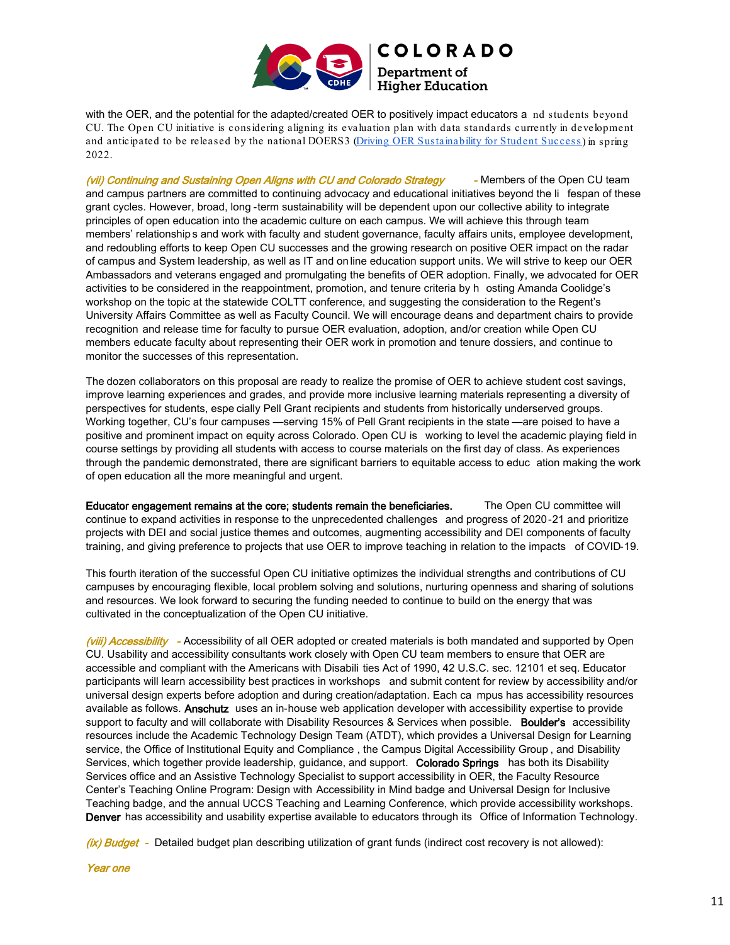

with the OER, and the potential for the adapted/created OER to positively impact educators a nd students beyond CU. The Open CU initiative is considering aligning its evaluation plan with data standards currently in development and anticipated to be released by the national DOERS3 [\(Driving OER Sustainability for Student Success\)](https://www.doers3.org/projects.html) in spring 2022.

(vii) Continuing and Sustaining Open Aligns with CU and Colorado Strategy - Members of the Open CU team and campus partners are committed to continuing advocacy and educational initiatives beyond the li fespan of these grant cycles. However, broad, long -term sustainability will be dependent upon our collective ability to integrate principles of open education into the academic culture on each campus. We will achieve this through team members' relationship s and work with faculty and student governance, faculty affairs units, employee development, and redoubling efforts to keep Open CU successes and the growing research on positive OER impact on the radar of campus and System leadership, as well as IT and on line education support units. We will strive to keep our OER Ambassadors and veterans engaged and promulgating the benefits of OER adoption. Finally, we advocated for OER activities to be considered in the reappointment, promotion, and tenure criteria by h osting Amanda Coolidge's workshop on the topic at the statewide COLTT conference, and suggesting the consideration to the Regent's University Affairs Committee as well as Faculty Council. We will encourage deans and department chairs to provide recognition and release time for faculty to pursue OER evaluation, adoption, and/or creation while Open CU members educate faculty about representing their OER work in promotion and tenure dossiers, and continue to monitor the successes of this representation.

The dozen collaborators on this proposal are ready to realize the promise of OER to achieve student cost savings, improve learning experiences and grades, and provide more inclusive learning materials representing a diversity of perspectives for students, espe cially Pell Grant recipients and students from historically underserved groups. Working together, CU's four campuses —serving 15% of Pell Grant recipients in the state —are poised to have a positive and prominent impact on equity across Colorado. Open CU is working to level the academic playing field in course settings by providing all students with access to course materials on the first day of class. As experiences through the pandemic demonstrated, there are significant barriers to equitable access to educ ation making the work of open education all the more meaningful and urgent.

Educator engagement remains at the core; students remain the beneficiaries. The Open CU committee will continue to expand activities in response to the unprecedented challenges and progress of 2020-21 and prioritize projects with DEI and social justice themes and outcomes, augmenting accessibility and DEI components of faculty training, and giving preference to projects that use OER to improve teaching in relation to the impacts of COVID-19.

This fourth iteration of the successful Open CU initiative optimizes the individual strengths and contributions of CU campuses by encouraging flexible, local problem solving and solutions, nurturing openness and sharing of solutions and resources. We look forward to securing the funding needed to continue to build on the energy that was cultivated in the conceptualization of the Open CU initiative.

(viii) Accessibility - Accessibility of all OER adopted or created materials is both mandated and supported by Open CU. Usability and accessibility consultants work closely with Open CU team members to ensure that OER are accessible and compliant with the Americans with Disabili ties Act of 1990, 42 U.S.C. sec. 12101 et seq. Educator participants will learn accessibility best practices in workshops and submit content for review by accessibility and/or universal design experts before adoption and during creation/adaptation. Each ca mpus has accessibility resources available as follows. Anschutz uses an in-house web application developer with accessibility expertise to provide support to faculty and will collaborate with Disability Resources & Services when possible. Boulder's accessibility resources include the Academic Technology Design Team (ATDT), which provides a [Universal Design for Learning](https://www.colorado.edu/assett/faculty-resources/services/udl) service, the Office of Institutional Equity and Compliance , the [Campus Digital Accessibility Group](https://www.colorado.edu/accessible-technology/campus-group) , and [Disability](https://www.colorado.edu/disabilityservices/)  [Services,](https://www.colorado.edu/disabilityservices/) which together provide leadership, guidance, and support. Colorado Springs has both its Disability Services office and an Assistive Technology Specialist to support accessibility in OER, the Faculty Resource Center's Teaching Online Program: Design with Accessibility in Mind badge and Universal Design for Inclusive Teaching badge, and the annual UCCS Teaching and Learning Conference, which provide accessibility workshops. Denver has accessibility and usability expertise available to educators through its Office of Information Technology.

(ix) Budget - Detailed budget plan describing utilization of grant funds (indirect cost recovery is not allowed):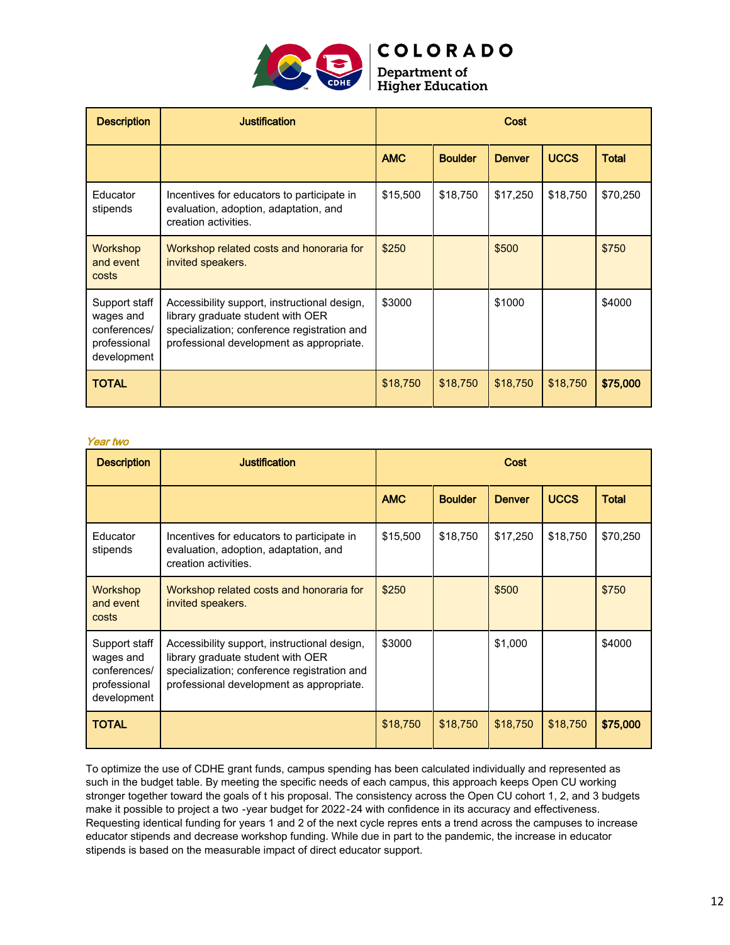

# **COLORADO**

**Department of<br>Higher Education** 

| <b>Description</b>                                                        | <b>Justification</b>                                                                                                                                                         | Cost       |                |               |             |          |  |  |
|---------------------------------------------------------------------------|------------------------------------------------------------------------------------------------------------------------------------------------------------------------------|------------|----------------|---------------|-------------|----------|--|--|
|                                                                           |                                                                                                                                                                              | <b>AMC</b> | <b>Boulder</b> | <b>Denver</b> | <b>UCCS</b> | Total    |  |  |
| Educator<br>stipends                                                      | Incentives for educators to participate in<br>evaluation, adoption, adaptation, and<br>creation activities.                                                                  | \$15,500   | \$18,750       | \$17,250      | \$18,750    | \$70,250 |  |  |
| Workshop<br>and event<br>costs                                            | Workshop related costs and honoraria for<br>invited speakers.                                                                                                                | \$250      |                | \$500         |             | \$750    |  |  |
| Support staff<br>wages and<br>conferences/<br>professional<br>development | Accessibility support, instructional design,<br>library graduate student with OER<br>specialization; conference registration and<br>professional development as appropriate. | \$3000     |                | \$1000        |             | \$4000   |  |  |
| <b>TOTAL</b>                                                              |                                                                                                                                                                              | \$18,750   | \$18,750       | \$18,750      | \$18,750    | \$75,000 |  |  |

#### Year two

| <b>Description</b>                                                        | <b>Justification</b>                                                                                                                                                         | Cost       |                |               |             |              |  |
|---------------------------------------------------------------------------|------------------------------------------------------------------------------------------------------------------------------------------------------------------------------|------------|----------------|---------------|-------------|--------------|--|
|                                                                           |                                                                                                                                                                              | <b>AMC</b> | <b>Boulder</b> | <b>Denver</b> | <b>UCCS</b> | <b>Total</b> |  |
| Educator<br>stipends                                                      | Incentives for educators to participate in<br>evaluation, adoption, adaptation, and<br>creation activities.                                                                  | \$15,500   | \$18,750       | \$17,250      | \$18,750    | \$70,250     |  |
| Workshop<br>and event<br>costs                                            | Workshop related costs and honoraria for<br>invited speakers.                                                                                                                | \$250      |                | \$500         |             | \$750        |  |
| Support staff<br>wages and<br>conferences/<br>professional<br>development | Accessibility support, instructional design,<br>library graduate student with OER<br>specialization; conference registration and<br>professional development as appropriate. | \$3000     |                | \$1,000       |             | \$4000       |  |
| <b>TOTAL</b>                                                              |                                                                                                                                                                              | \$18,750   | \$18,750       | \$18,750      | \$18,750    | \$75,000     |  |

To optimize the use of CDHE grant funds, campus spending has been calculated individually and represented as such in the budget table. By meeting the specific needs of each campus, this approach keeps Open CU working stronger together toward the goals of t his proposal. The consistency across the Open CU cohort 1, 2, and 3 budgets make it possible to project a two -year budget for 2022-24 with confidence in its accuracy and effectiveness. Requesting identical funding for years 1 and 2 of the next cycle repres ents a trend across the campuses to increase educator stipends and decrease workshop funding. While due in part to the pandemic, the increase in educator stipends is based on the measurable impact of direct educator support.